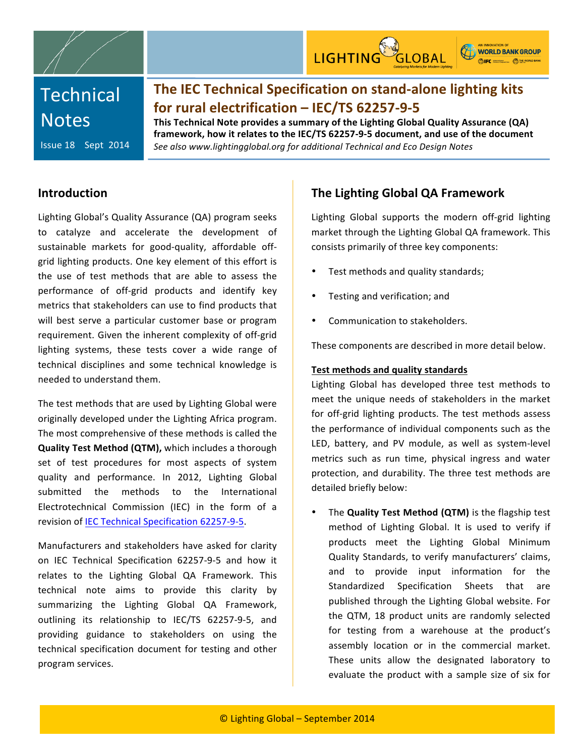

# **The IEC Technical Specification on stand-alone lighting kits** for rural electrification – **IEC/TS** 62257-9-5

**LIGHTING GLOBAL** 

This Technical Note provides a summary of the Lighting Global Quality Assurance (QA) framework, how it relates to the IEC/TS 62257-9-5 document, and use of the document See also www.lightingglobal.org for additional Technical and Eco Design Notes

### **Introduction**

Issue 18 Sept 2014

**Notes** 

Lighting Global's Quality Assurance (QA) program seeks to catalyze and accelerate the development of sustainable markets for good-quality, affordable offgrid lighting products. One key element of this effort is the use of test methods that are able to assess the performance of off-grid products and identify key metrics that stakeholders can use to find products that will best serve a particular customer base or program requirement. Given the inherent complexity of off-grid lighting systems, these tests cover a wide range of technical disciplines and some technical knowledge is needed to understand them.

The test methods that are used by Lighting Global were originally developed under the Lighting Africa program. The most comprehensive of these methods is called the **Quality Test Method (QTM),** which includes a thorough set of test procedures for most aspects of system quality and performance. In 2012, Lighting Global submitted the methods to the International Electrotechnical Commission (IEC) in the form of a revision of IEC Technical Specification 62257-9-5.

Manufacturers and stakeholders have asked for clarity on IEC Technical Specification 62257-9-5 and how it relates to the Lighting Global QA Framework. This technical note aims to provide this clarity by summarizing the Lighting Global QA Framework, outlining its relationship to IEC/TS 62257-9-5, and providing guidance to stakeholders on using the technical specification document for testing and other program services.

### **The Lighting Global QA Framework**

Lighting Global supports the modern off-grid lighting market through the Lighting Global QA framework. This consists primarily of three key components:

WORLD BANK GROUP **OIFCEERS ONLYON** 

- Test methods and quality standards;
- Testing and verification; and
- Communication to stakeholders.

These components are described in more detail below.

#### Test methods and quality standards

Lighting Global has developed three test methods to meet the unique needs of stakeholders in the market for off-grid lighting products. The test methods assess the performance of individual components such as the LED, battery, and PV module, as well as system-level metrics such as run time, physical ingress and water protection, and durability. The three test methods are detailed briefly below:

The **Quality Test Method (QTM)** is the flagship test method of Lighting Global. It is used to verify if products meet the Lighting Global Minimum Quality Standards, to verify manufacturers' claims, and to provide input information for the Standardized Specification Sheets that are published through the Lighting Global website. For the QTM, 18 product units are randomly selected for testing from a warehouse at the product's assembly location or in the commercial market. These units allow the designated laboratory to evaluate the product with a sample size of six for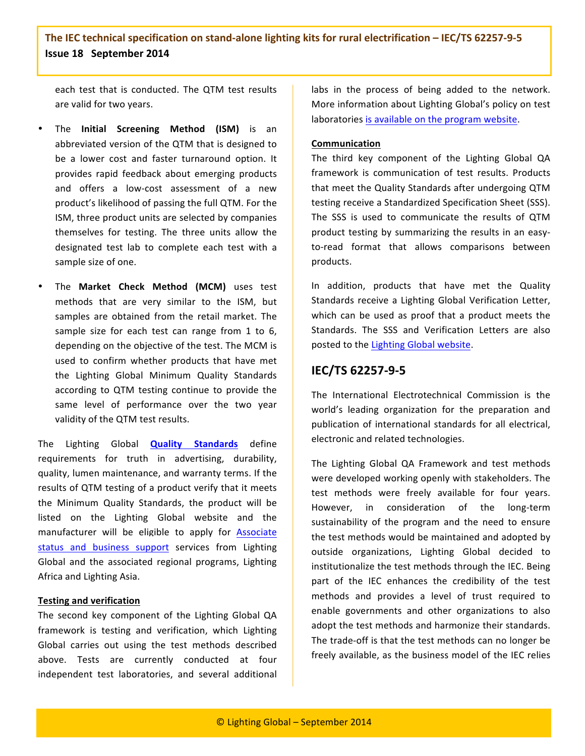each test that is conducted. The QTM test results are valid for two years.

- The **Initial Screening Method (ISM)** is an abbreviated version of the QTM that is designed to be a lower cost and faster turnaround option. It provides rapid feedback about emerging products and offers a low-cost assessment of a new product's likelihood of passing the full QTM. For the ISM, three product units are selected by companies themselves for testing. The three units allow the designated test lab to complete each test with a sample size of one.
- The **Market Check Method (MCM)** uses test methods that are very similar to the ISM, but samples are obtained from the retail market. The sample size for each test can range from 1 to 6, depending on the objective of the test. The MCM is used to confirm whether products that have met the Lighting Global Minimum Quality Standards according to QTM testing continue to provide the same level of performance over the two year validity of the QTM test results.

The Lighting Global **Quality Standards** define requirements for truth in advertising, durability, quality, lumen maintenance, and warranty terms. If the results of QTM testing of a product verify that it meets the Minimum Quality Standards, the product will be listed on the Lighting Global website and the manufacturer will be eligible to apply for Associate status and business support services from Lighting Global and the associated regional programs, Lighting Africa and Lighting Asia.

### **Testing and verification**

The second key component of the Lighting Global QA framework is testing and verification, which Lighting Global carries out using the test methods described above. Tests are currently conducted at four independent test laboratories, and several additional labs in the process of being added to the network. More information about Lighting Global's policy on test laboratories is available on the program website.

#### **Communication**

The third key component of the Lighting Global QA framework is communication of test results. Products that meet the Quality Standards after undergoing QTM testing receive a Standardized Specification Sheet (SSS). The SSS is used to communicate the results of QTM product testing by summarizing the results in an easyto-read format that allows comparisons between products.

In addition, products that have met the Quality Standards receive a Lighting Global Verification Letter, which can be used as proof that a product meets the Standards. The SSS and Verification Letters are also posted to the Lighting Global website.

### **IEC/TS 62257-9-5**

The International Electrotechnical Commission is the world's leading organization for the preparation and publication of international standards for all electrical, electronic and related technologies.

The Lighting Global QA Framework and test methods were developed working openly with stakeholders. The test methods were freely available for four years. However, in consideration of the long-term sustainability of the program and the need to ensure the test methods would be maintained and adopted by outside organizations, Lighting Global decided to institutionalize the test methods through the IEC. Being part of the IEC enhances the credibility of the test methods and provides a level of trust required to enable governments and other organizations to also adopt the test methods and harmonize their standards. The trade-off is that the test methods can no longer be freely available, as the business model of the IEC relies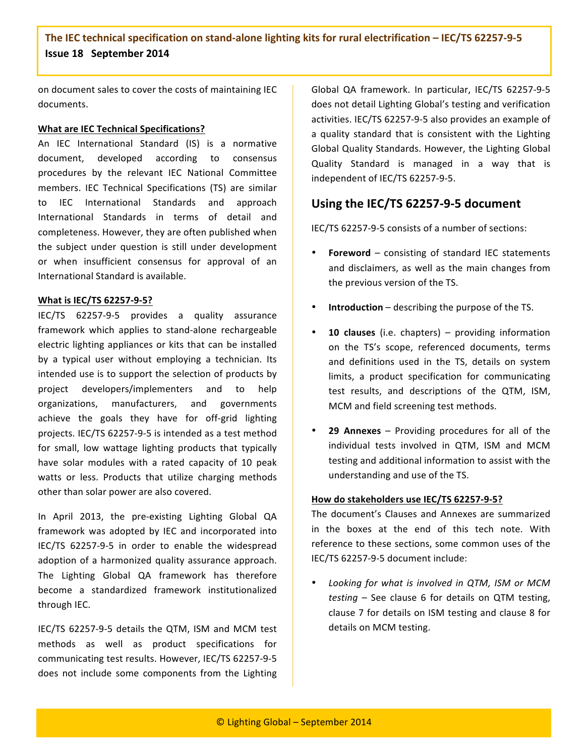on document sales to cover the costs of maintaining IEC documents.

### **What are IEC Technical Specifications?**

An IEC International Standard (IS) is a normative document, developed according to consensus procedures by the relevant IEC National Committee members. IEC Technical Specifications (TS) are similar to IEC International Standards and approach International Standards in terms of detail and completeness. However, they are often published when the subject under question is still under development or when insufficient consensus for approval of an International Standard is available.

### **What is IEC/TS 62257-9-5?**

IEC/TS 62257-9-5 provides a quality assurance framework which applies to stand-alone rechargeable electric lighting appliances or kits that can be installed by a typical user without employing a technician. Its intended use is to support the selection of products by project! developers/implementers! and to help organizations, manufacturers, and governments achieve the goals they have for off-grid lighting projects. IEC/TS 62257-9-5 is intended as a test method for small, low wattage lighting products that typically have solar modules with a rated capacity of 10 peak watts or less. Products that utilize charging methods other than solar power are also covered.

In April 2013, the pre-existing Lighting Global QA framework was adopted by IEC and incorporated into IEC/TS 62257-9-5 in order to enable the widespread adoption of a harmonized quality assurance approach. The Lighting Global QA framework has therefore become a standardized framework institutionalized through IEC.

IEC/TS 62257-9-5 details the QTM, ISM and MCM test methods as well as product specifications for communicating test results. However, IEC/TS 62257-9-5 does not include some components from the Lighting

Global QA framework. In particular, IEC/TS 62257-9-5 does not detail Lighting Global's testing and verification activities. IEC/TS 62257-9-5 also provides an example of a quality standard that is consistent with the Lighting Global Quality Standards. However, the Lighting Global Quality Standard is managed in a way that is independent of IEC/TS 62257-9-5.

# Using the IEC/TS 62257-9-5 document

IEC/TS 62257-9-5 consists of a number of sections:

- **Foreword** consisting of standard IEC statements and disclaimers, as well as the main changes from the previous version of the TS.
- **Introduction** describing the purpose of the TS.
- 10 **clauses** (i.e. chapters) providing information on the TS's scope, referenced documents, terms and definitions used in the TS, details on system limits, a product specification for communicating test results, and descriptions of the QTM, ISM, MCM and field screening test methods.
- **29 Annexes** Providing procedures for all of the individual tests involved in QTM, ISM and MCM testing and additional information to assist with the understanding and use of the TS.

### How do stakeholders use IEC/TS 62257-9-5?

The document's Clauses and Annexes are summarized in the boxes at the end of this tech note. With reference to these sections, some common uses of the IEC/TS 62257-9-5 document include:

Looking for what is involved in QTM, ISM or MCM *testing* – See clause 6 for details on QTM testing, clause 7 for details on ISM testing and clause 8 for details on MCM testing.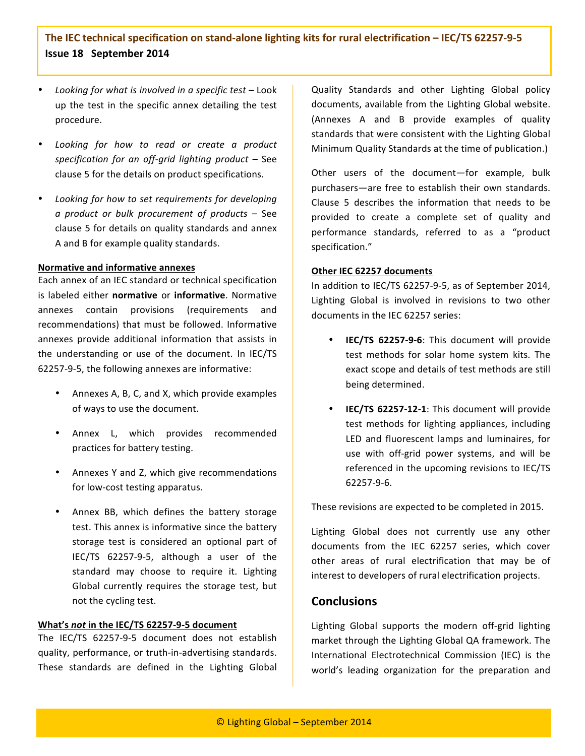- *Looking for what is involved in a specific test* Look up the test in the specific annex detailing the test procedure.
- Looking for how to read or create a product *specification for an off-grid lighting product - See* clause 5 for the details on product specifications.
- Looking for how to set requirements for developing *a product or bulk procurement of products – See* clause 5 for details on quality standards and annex A and B for example quality standards.

#### **Normative and informative annexes**

Each annex of an IEC standard or technical specification is labeled either **normative** or *informative*. Normative annexes contain provisions (requirements and recommendations) that must be followed. Informative annexes provide additional information that assists in the understanding or use of the document. In IEC/TS 62257-9-5, the following annexes are informative:

- Annexes A, B, C, and X, which provide examples of ways to use the document.
- Annex L, which provides recommended practices for battery testing.
- Annexes Y and Z, which give recommendations for low-cost testing apparatus.
- Annex BB, which defines the battery storage test. This annex is informative since the battery storage test is considered an optional part of IEC/TS 62257-9-5, although a user of the standard may choose to require it. Lighting Global currently requires the storage test, but not the cycling test.

#### What's not in the IEC/TS 62257-9-5 document

The IEC/TS 62257-9-5 document does not establish quality, performance, or truth-in-advertising standards. These standards are defined in the Lighting Global

Quality Standards and other Lighting Global policy documents, available from the Lighting Global website. (Annexes A and B provide examples of quality standards that were consistent with the Lighting Global Minimum Quality Standards at the time of publication.)

Other users of the document-for example, bulk purchasers—are free to establish their own standards. Clause 5 describes the information that needs to be provided to create a complete set of quality and performance standards, referred to as a "product specification."

#### **Other IEC 62257 documents**

In addition to IEC/TS 62257-9-5, as of September 2014, Lighting Global is involved in revisions to two other documents in the IEC 62257 series:

- **IEC/TS 62257-9-6:** This document will provide test methods for solar home system kits. The exact scope and details of test methods are still being determined.
- **IEC/TS 62257-12-1**: This document will provide test methods for lighting appliances, including LED and fluorescent lamps and luminaires, for use with off-grid power systems, and will be referenced in the upcoming revisions to IEC/TS 62257-9-6.

These revisions are expected to be completed in 2015.

Lighting Global does not currently use any other documents from the IEC 62257 series, which cover other areas of rural electrification that may be of interest to developers of rural electrification projects.

### **Conclusions**

Lighting Global supports the modern off-grid lighting market through the Lighting Global QA framework. The International Electrotechnical Commission (IEC) is the world's leading organization for the preparation and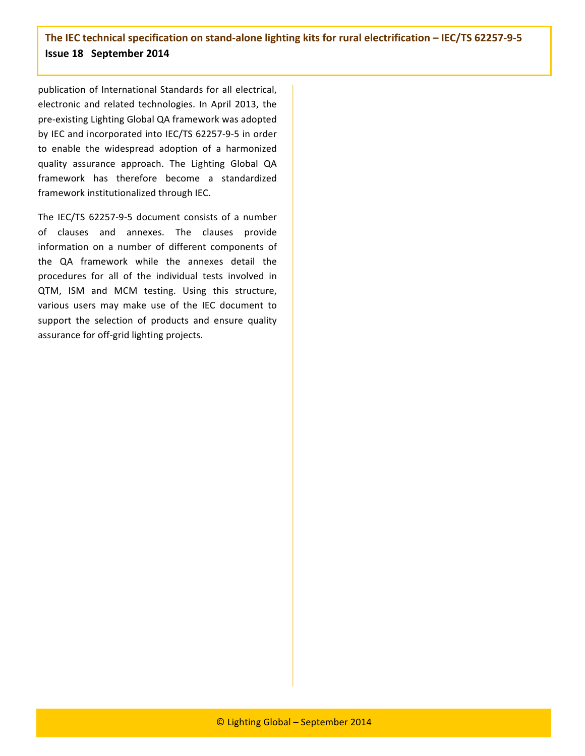publication of International Standards for all electrical, electronic and related technologies. In April 2013, the pre-existing Lighting Global QA framework was adopted by IEC and incorporated into IEC/TS 62257-9-5 in order to enable the widespread adoption of a harmonized quality assurance approach. The Lighting Global QA framework has therefore become a standardized framework institutionalized through IEC.

The IEC/TS 62257-9-5 document consists of a number of clauses and annexes. The clauses provide information on a number of different components of the QA framework while the annexes detail the procedures for all of the individual tests involved in QTM, ISM and MCM testing. Using this structure, various users may make use of the IEC document to support the selection of products and ensure quality assurance for off-grid lighting projects.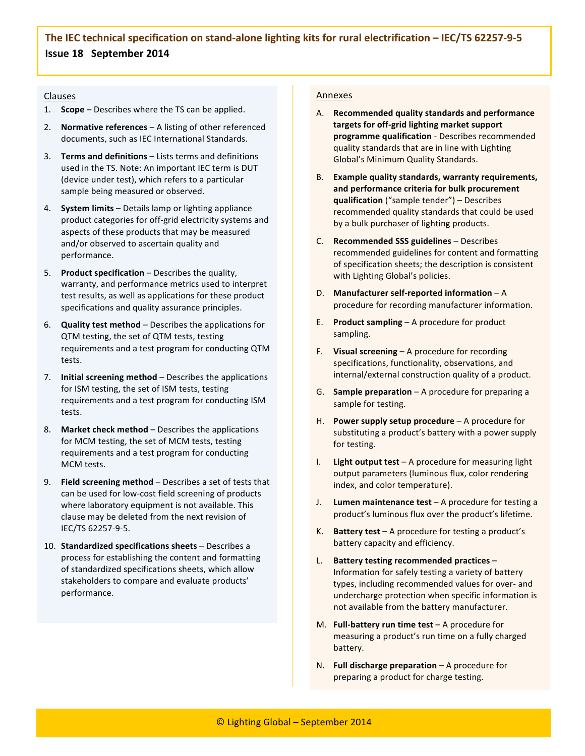#### Clauses

- 1. **Scope** Describes where the TS can be applied.
- 2. **Normative references** A listing of other referenced documents, such as IEC International Standards.
- 3. **Terms and definitions** Lists terms and definitions used in the TS. Note: An important IEC term is DUT (device under test), which refers to a particular sample being measured or observed.
- 4. **System limits** Details lamp or lighting appliance product categories for off-grid electricity systems and aspects of these products that may be measured and/or observed to ascertain quality and performance.
- 5. **Product specification** Describes the quality, warranty, and performance metrics used to interpret test results, as well as applications for these product specifications and quality assurance principles.
- 6. **Quality test method** Describes the applications for QTM testing, the set of QTM tests, testing requirements and a test program for conducting QTM tests.
- 7. **Initial screening method** Describes the applications for ISM testing, the set of ISM tests, testing requirements and a test program for conducting ISM tests.
- 8. **Market check method** Describes the applications for MCM testing, the set of MCM tests, testing requirements and a test program for conducting MCM tests.
- 9. **Field screening method** Describes a set of tests that can be used for low-cost field screening of products where laboratory equipment is not available. This clause may be deleted from the next revision of IEC/TS 62257-9-5.
- 10. **Standardized specifications sheets** Describes a process for establishing the content and formatting of standardized specifications sheets, which allow stakeholders to compare and evaluate products' performance.

#### Annexes

- A. **Recommended quality standards and performance** targets for off-grid lighting market support programme qualification - Describes recommended quality standards that are in line with Lighting Global's Minimum Quality Standards.
- B. **Example quality standards, warranty requirements,** and performance criteria for bulk procurement **qualification** ("sample tender") – Describes recommended quality standards that could be used by a bulk purchaser of lighting products.
- C. **Recommended SSS guidelines** Describes recommended guidelines for content and formatting of specification sheets; the description is consistent with Lighting Global's policies.
- D. **Manufacturer self-reported information** A procedure for recording manufacturer information.
- E. **Product sampling** A procedure for product sampling.
- F. **Visual screening** A procedure for recording specifications, functionality, observations, and internal/external construction quality of a product.
- G. **Sample preparation** A procedure for preparing a sample for testing.
- H. **Power supply setup procedure** A procedure for substituting a product's battery with a power supply for testing.
- I. Light output test A procedure for measuring light output parameters (luminous flux, color rendering index, and color temperature).
- J. **Lumen maintenance test** A procedure for testing a product's luminous flux over the product's lifetime.
- K. **Battery test** A procedure for testing a product's battery capacity and efficiency.
- L. **Battery testing recommended practices** Information for safely testing a variety of battery types, including recommended values for over- and undercharge protection when specific information is not available from the battery manufacturer.
- M. **Full-battery run time test** A procedure for measuring a product's run time on a fully charged battery.
- N. **Full discharge preparation** A procedure for preparing a product for charge testing.